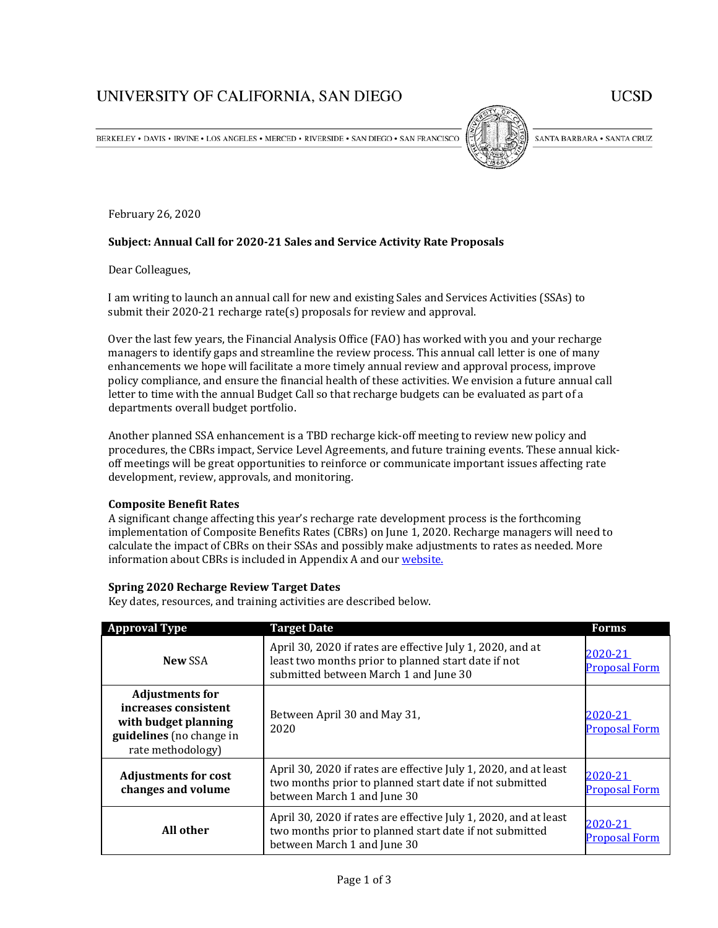# UNIVERSITY OF CALIFORNIA, SAN DIEGO

**UCSD** 

BERKELEY • DAVIS • IRVINE • LOS ANGELES • MERCED • RIVERSIDE • SAN DIEGO • SAN FRANCISCO



SANTA BARBARA . SANTA CRUZ

February 26, 2020

## **Subject: Annual Call for 2020-21 Sales and Service Activity Rate Proposals**

Dear Colleagues,

I am writing to launch an annual call for new and existing Sales and Services Activities (SSAs) to submit their 2020-21 recharge rate(s) proposals for review and approval.

Over the last few years, the Financial Analysis Office (FAO) has worked with you and your recharge managers to identify gaps and streamline the review process. This annual call letter is one of many enhancements we hope will facilitate a more timely annual review and approval process, improve policy compliance, and ensure the financial health of these activities. We envision a future annual call letter to time with the annual Budget Call so that recharge budgets can be evaluated as part of a departments overall budget portfolio.

Another planned SSA enhancement is a TBD recharge kick-off meeting to review new policy and procedures, the CBRs impact, Service Level Agreements, and future training events. These annual kickoff meetings will be great opportunities to reinforce or communicate important issues affecting rate development, review, approvals, and monitoring.

# **Composite Benefit Rates**

A significant change affecting this year's recharge rate development process is the forthcoming implementation of Composite Benefits Rates (CBRs) on June 1, 2020. Recharge managers will need to calculate the impact of CBRs on their SSAs and possibly make adjustments to rates as needed. More information about CBRs is included in Appendix A and our [website.](https://blink.ucsd.edu/finance/financial-analysis-office/ssa/index.html)

#### **Spring 2020 Recharge Review Target Dates**

Key dates, resources, and training activities are described below.

| <b>Approval Type</b>                                                                                                    | <b>Target Date</b>                                                                                                                                         | <b>Forms</b>                    |
|-------------------------------------------------------------------------------------------------------------------------|------------------------------------------------------------------------------------------------------------------------------------------------------------|---------------------------------|
| New SSA                                                                                                                 | April 30, 2020 if rates are effective July 1, 2020, and at<br>least two months prior to planned start date if not<br>submitted between March 1 and June 30 | 2020-21<br><b>Proposal Form</b> |
| <b>Adjustments for</b><br>increases consistent<br>with budget planning<br>guidelines (no change in<br>rate methodology) | Between April 30 and May 31,<br>2020                                                                                                                       | 2020-21<br><b>Proposal Form</b> |
| <b>Adjustments for cost</b><br>changes and volume                                                                       | April 30, 2020 if rates are effective July 1, 2020, and at least<br>two months prior to planned start date if not submitted<br>between March 1 and June 30 | 2020-21<br><b>Proposal Form</b> |
| All other                                                                                                               | April 30, 2020 if rates are effective July 1, 2020, and at least<br>two months prior to planned start date if not submitted<br>between March 1 and June 30 | 2020-21<br><b>Proposal Form</b> |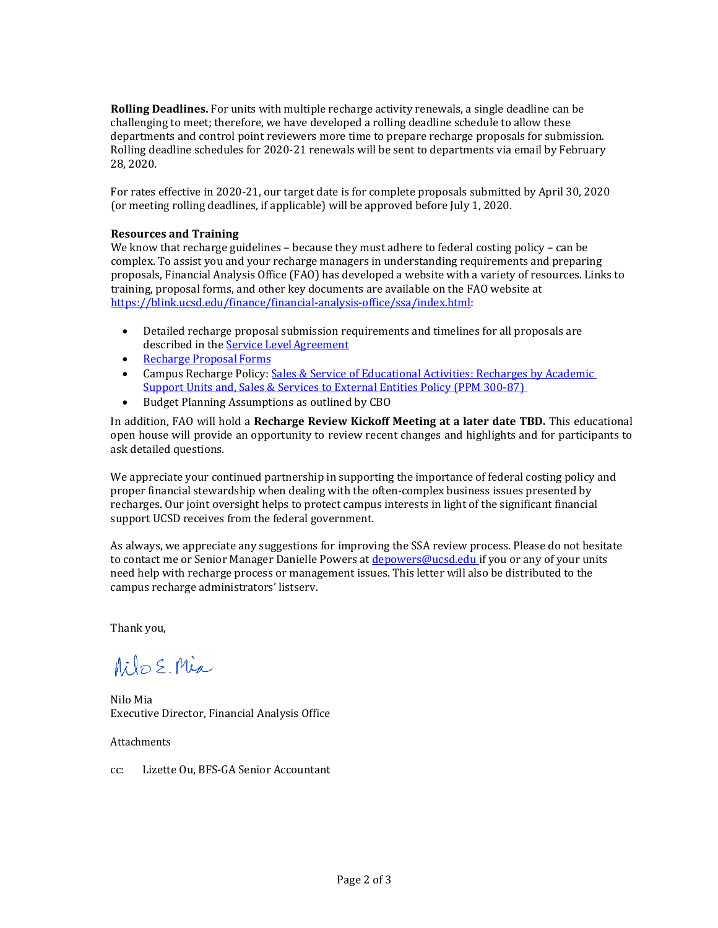**Rolling Deadlines.** For units with multiple recharge activity renewals, a single deadline can be challenging to meet; therefore, we have developed a rolling deadline schedule to allow these departments and control point reviewers more time to prepare recharge proposals for submission. Rolling deadline schedules for 2020-21 renewals will be sent to departments via email by February 28, 2020.

For rates effective in 2020-21, our target date is for complete proposals submitted by April 30, 2020 (or meeting rolling deadlines, if applicable) will be approved before July 1, 2020.

## **Resources and Training**

We know that recharge guidelines – because they must adhere to federal costing policy – can be complex. To assist you and your recharge managers in understanding requirements and preparing proposals, Financial Analysis Office (FAO) has developed a website with a variety of resources. Links to training, proposal forms, and other key documents are available on the FAO website at [https://blink.ucsd.edu/finance/financial-analysis-office/ssa/index.html:](https://blink.ucsd.edu/finance/financial-analysis-office/ssa/index.html)

- Detailed recharge proposal submission requirements and timelines for all proposals are described in the **Service Level Agreement**
- [Recharge Proposal](https://blink.ucsd.edu/finance/financial-analysis-office/ssa/forms-templates%20/index.html) Forms
- Campus Recharge Policy[: Sales & Service of Educational Activities: Recharges by Academic](http://adminrecords.ucsd.edu/ppm/docs/300-87.html)  [Support Units and, Sales & Services to External Entities Policy \(PPM 300-87\)](http://adminrecords.ucsd.edu/ppm/docs/300-87.html)
- Budget Planning Assumptions as outlined by CBO

In addition, FAO will hold a **Recharge Review Kickoff Meeting at a later date TBD.** This educational open house will provide an opportunity to review recent changes and highlights and for participants to ask detailed questions.

We appreciate your continued partnership in supporting the importance of federal costing policy and proper financial stewardship when dealing with the often-complex business issues presented by recharges. Our joint oversight helps to protect campus interests in light of the significant financial support UCSD receives from the federal government.

As always, we appreciate any suggestions for improving the SSA review process. Please do not hesitate to contact me or Senior Manager Danielle Powers a[t depowers@ucsd.edu](mailto:depowers@ucsd.edu) if you or any of your units need help with recharge process or management issues. This letter will also be distributed to the campus recharge administrators' listserv.

Thank you,

Milo E. Mia

Nilo Mia Executive Director, Financial Analysis Office

Attachments

cc: Lizette Ou, BFS-GA Senior Accountant